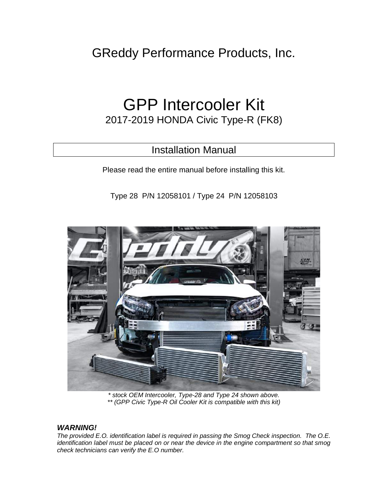GReddy Performance Products, Inc.

# GPP Intercooler Kit

2017-2019 HONDA Civic Type-R (FK8)

## Installation Manual

Please read the entire manual before installing this kit.

Type 28 P/N 12058101 / Type 24 P/N 12058103



*\* stock OEM Intercooler, Type-28 and Type 24 shown above. \*\* (GPP Civic Type-R Oil Cooler Kit is compatible with this kit)*

#### *WARNING!*

*The provided E.O. identification label is required in passing the Smog Check inspection. The O.E. identification label must be placed on or near the device in the engine compartment so that smog check technicians can verify the E.O number.*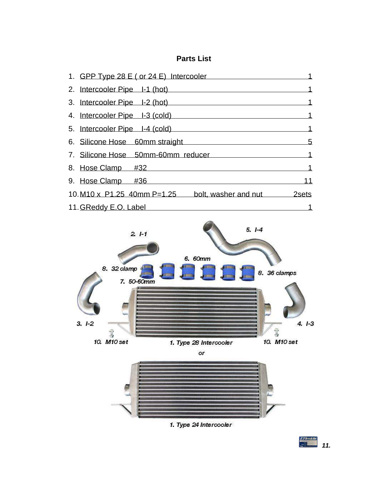### **Parts List**

| 1. GPP Type 28 E (or 24 E) Intercooler                    |   |
|-----------------------------------------------------------|---|
| 2. Intercooler Pipe I-1 (hot)                             |   |
| 3. Intercooler Pipe I-2 (hot)                             |   |
| 4. Intercooler Pipe I-3 (cold)                            |   |
| 5. Intercooler Pipe I-4 (cold)                            |   |
| 6. Silicone Hose 60mm straight                            | 5 |
| 7. Silicone Hose 50mm-60mm reducer                        | 1 |
| 8. Hose Clamp #32                                         | 1 |
| 9. Hose Clamp #36                                         |   |
| 10. M10 x P1.25 40mm P=1.25<br>bolt, washer and nut 2sets |   |
| 11. GReddy E.O. Label                                     |   |



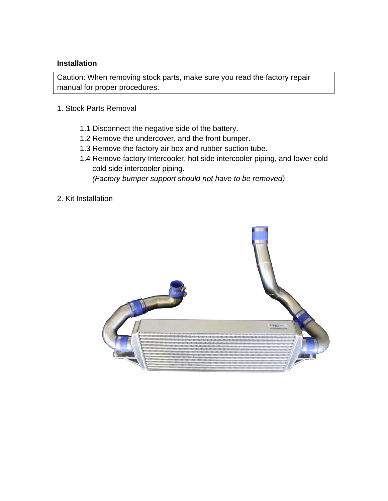#### **Installation**

Caution: When removing stock parts, make sure you read the factory repair manual for proper procedures.

- 1. Stock Parts Removal
	- 1.1 Disconnect the negative side of the battery.
	- 1.2 Remove the undercover, and the front bumper.
	- 1.3 Remove the factory air box and rubber suction tube.
	- 1.4 Remove factory Intercooler, hot side intercooler piping, and lower cold cold side intercooler piping.  *(Factory bumper support should not have to be removed)*
- 2. Kit Installation

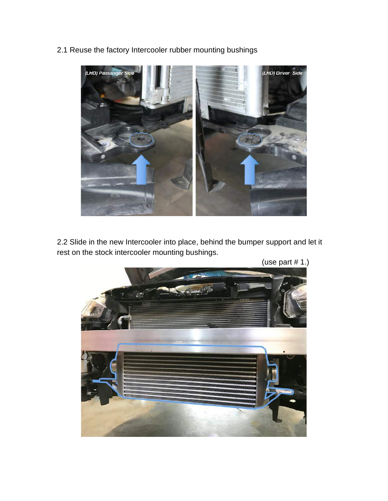



2.2 Slide in the new Intercooler into place, behind the bumper support and let it rest on the stock intercooler mounting bushings.

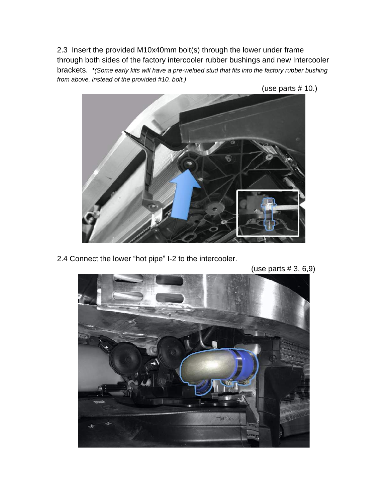2.3 Insert the provided M10x40mm bolt(s) through the lower under frame through both sides of the factory intercooler rubber bushings and new Intercooler brackets. *\*(Some early kits will have a pre-welded stud that fits into the factory rubber bushing from above, instead of the provided #10. bolt.)*



2.4 Connect the lower "hot pipe" I-2 to the intercooler.

(use parts # 3, 6,9)

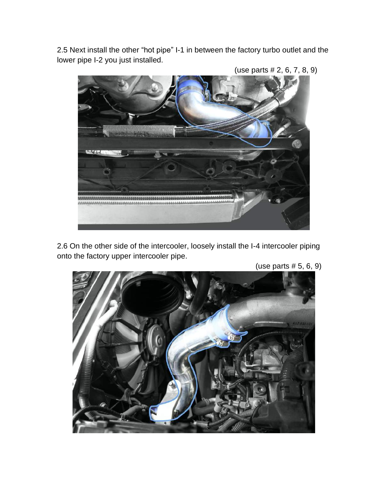2.5 Next install the other "hot pipe" I-1 in between the factory turbo outlet and the lower pipe I-2 you just installed.



(use parts # 2, 6, 7, 8, 9)

2.6 On the other side of the intercooler, loosely install the I-4 intercooler piping onto the factory upper intercooler pipe.

(use parts # 5, 6, 9)

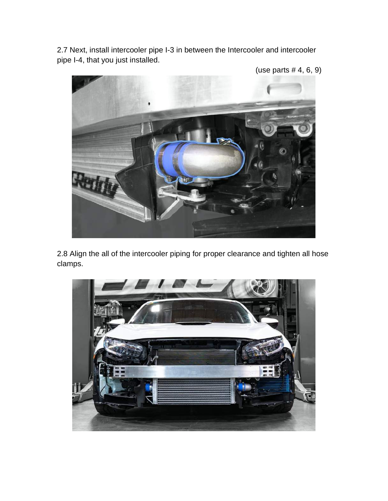2.7 Next, install intercooler pipe I-3 in between the Intercooler and intercooler pipe I-4, that you just installed.

(use parts # 4, 6, 9)



2.8 Align the all of the intercooler piping for proper clearance and tighten all hose clamps.

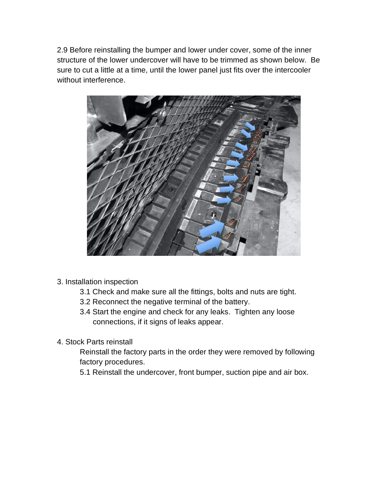2.9 Before reinstalling the bumper and lower under cover, some of the inner structure of the lower undercover will have to be trimmed as shown below. Be sure to cut a little at a time, until the lower panel just fits over the intercooler without interference.



- 3. Installation inspection
	- 3.1 Check and make sure all the fittings, bolts and nuts are tight.
	- 3.2 Reconnect the negative terminal of the battery.
	- 3.4 Start the engine and check for any leaks. Tighten any loose connections, if it signs of leaks appear.
- 4. Stock Parts reinstall

Reinstall the factory parts in the order they were removed by following factory procedures.

5.1 Reinstall the undercover, front bumper, suction pipe and air box.